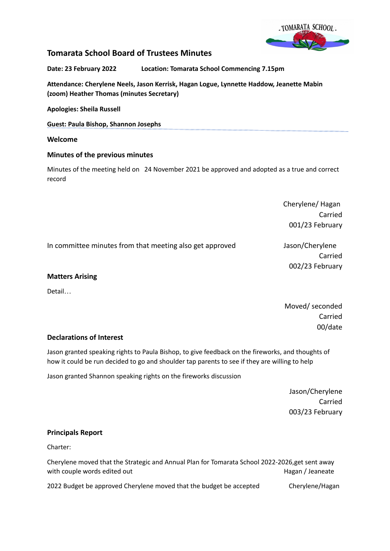

# **Tomarata School Board of Trustees Minutes**

**Date: 23 February 2022 Location: Tomarata School Commencing 7.15pm**

**Attendance: Cherylene Neels, Jason Kerrisk, Hagan Logue, Lynnette Haddow, Jeanette Mabin (zoom) Heather Thomas (minutes Secretary)**

**Apologies: Sheila Russell**

**Guest: Paula Bishop, Shannon Josephs**

### **Welcome**

## **Minutes of the previous minutes**

Minutes of the meeting held on 24 November 2021 be approved and adopted as a true and correct record

> Cherylene/ Hagan Carried 001/23 February

In committee minutes from that meeting also get approved Jason/Cherylene

Carried 002/23 February

### **Matters Arising**

Detail…

Moved/ seconded Carried 00/date

## **Declarations of Interest**

Jason granted speaking rights to Paula Bishop, to give feedback on the fireworks, and thoughts of how it could be run decided to go and shoulder tap parents to see if they are willing to help

Jason granted Shannon speaking rights on the fireworks discussion

Jason/Cherylene Carried 003/23 February

### **Principals Report**

Charter:

Cherylene moved that the Strategic and Annual Plan for Tomarata School 2022-2026,get sent away with couple words edited out Nagan / Jeaneate Nagan / Jeaneate

2022 Budget be approved Cherylene moved that the budget be accepted Cherylene/Hagan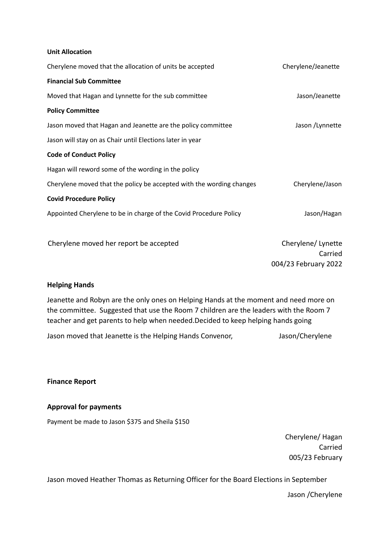#### **Unit Allocation**

| Cherylene moved that the allocation of units be accepted             | Cherylene/Jeanette   |
|----------------------------------------------------------------------|----------------------|
| <b>Financial Sub Committee</b>                                       |                      |
| Moved that Hagan and Lynnette for the sub committee                  | Jason/Jeanette       |
| <b>Policy Committee</b>                                              |                      |
| Jason moved that Hagan and Jeanette are the policy committee         | Jason / Lynnette     |
| Jason will stay on as Chair until Elections later in year            |                      |
| <b>Code of Conduct Policy</b>                                        |                      |
| Hagan will reword some of the wording in the policy                  |                      |
| Cherylene moved that the policy be accepted with the wording changes | Cherylene/Jason      |
| <b>Covid Procedure Policy</b>                                        |                      |
| Appointed Cherylene to be in charge of the Covid Procedure Policy    | Jason/Hagan          |
|                                                                      |                      |
| Cherylene moved her report be accepted                               | Cherylene/Lynette    |
|                                                                      | Carried              |
|                                                                      | 004/23 February 2022 |

### **Helping Hands**

Jeanette and Robyn are the only ones on Helping Hands at the moment and need more on the committee. Suggested that use the Room 7 children are the leaders with the Room 7 teacher and get parents to help when needed.Decided to keep helping hands going

Jason moved that Jeanette is the Helping Hands Convenor, Sason/Cherylene

**Finance Report**

### **Approval for payments**

Payment be made to Jason \$375 and Sheila \$150

Cherylene/ Hagan Carried 005/23 February

Jason moved Heather Thomas as Returning Officer for the Board Elections in September

Jason /Cherylene